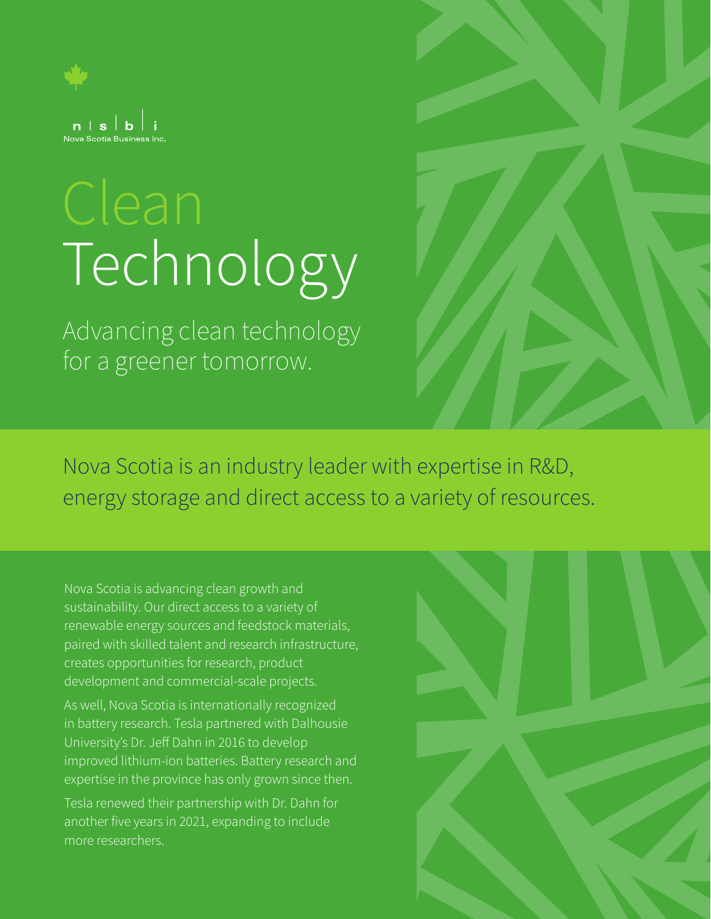

# Technology

Advancing clean technology for a greener tomorrow.

Nova Scotia is an industry leader with expertise in R&D, energy storage and direct access to a variety of resources.

Nova Scotia is advancing clean growth and sustainability. Our direct access to a variety of renewable energy sources and feedstock materials, paired with skilled talent and research infrastructure, creates opportunities for research, product development and commercial-scale projects.

As well, Nova Scotia is internationally recognized in battery research. Tesla partnered with Dalhousie University's Dr. Jeff Dahn in 2016 to develop improved lithium-ion batteries. Battery research and expertise in the province has only grown since then.

Tesla renewed their partnership with Dr. Dahn for another five years in 2021, expanding to include more researchers.